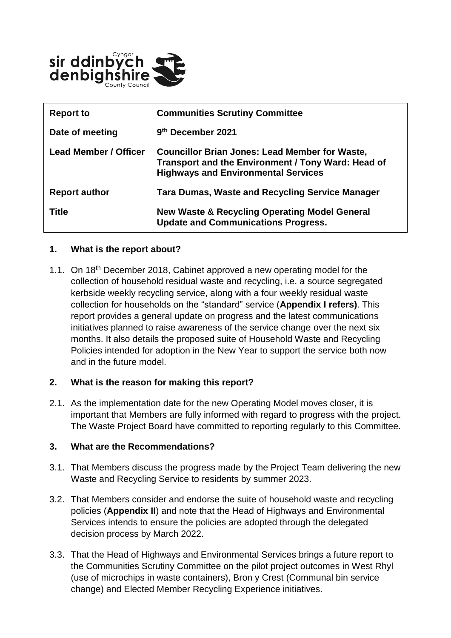

| <b>Report to</b>             | <b>Communities Scrutiny Committee</b>                                                                                                                     |
|------------------------------|-----------------------------------------------------------------------------------------------------------------------------------------------------------|
| Date of meeting              | 9th December 2021                                                                                                                                         |
| <b>Lead Member / Officer</b> | <b>Councillor Brian Jones: Lead Member for Waste,</b><br>Transport and the Environment / Tony Ward: Head of<br><b>Highways and Environmental Services</b> |
| <b>Report author</b>         | <b>Tara Dumas, Waste and Recycling Service Manager</b>                                                                                                    |
| <b>Title</b>                 | <b>New Waste &amp; Recycling Operating Model General</b><br><b>Update and Communications Progress.</b>                                                    |

#### **1. What is the report about?**

1.1. On 18<sup>th</sup> December 2018, Cabinet approved a new operating model for the collection of household residual waste and recycling, i.e. a source segregated kerbside weekly recycling service, along with a four weekly residual waste collection for households on the "standard" service (**Appendix I refers)**. This report provides a general update on progress and the latest communications initiatives planned to raise awareness of the service change over the next six months. It also details the proposed suite of Household Waste and Recycling Policies intended for adoption in the New Year to support the service both now and in the future model.

#### **2. What is the reason for making this report?**

2.1. As the implementation date for the new Operating Model moves closer, it is important that Members are fully informed with regard to progress with the project. The Waste Project Board have committed to reporting regularly to this Committee.

#### **3. What are the Recommendations?**

- 3.1. That Members discuss the progress made by the Project Team delivering the new Waste and Recycling Service to residents by summer 2023.
- 3.2. That Members consider and endorse the suite of household waste and recycling policies (**Appendix II**) and note that the Head of Highways and Environmental Services intends to ensure the policies are adopted through the delegated decision process by March 2022.
- 3.3. That the Head of Highways and Environmental Services brings a future report to the Communities Scrutiny Committee on the pilot project outcomes in West Rhyl (use of microchips in waste containers), Bron y Crest (Communal bin service change) and Elected Member Recycling Experience initiatives.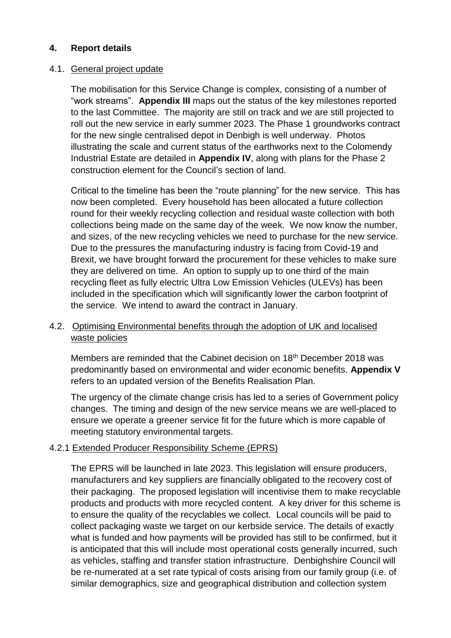### **4. Report details**

#### 4.1. General project update

The mobilisation for this Service Change is complex, consisting of a number of "work streams". **Appendix III** maps out the status of the key milestones reported to the last Committee. The majority are still on track and we are still projected to roll out the new service in early summer 2023. The Phase 1 groundworks contract for the new single centralised depot in Denbigh is well underway. Photos illustrating the scale and current status of the earthworks next to the Colomendy Industrial Estate are detailed in **Appendix IV**, along with plans for the Phase 2 construction element for the Council's section of land.

Critical to the timeline has been the "route planning" for the new service. This has now been completed. Every household has been allocated a future collection round for their weekly recycling collection and residual waste collection with both collections being made on the same day of the week. We now know the number, and sizes, of the new recycling vehicles we need to purchase for the new service. Due to the pressures the manufacturing industry is facing from Covid-19 and Brexit, we have brought forward the procurement for these vehicles to make sure they are delivered on time. An option to supply up to one third of the main recycling fleet as fully electric Ultra Low Emission Vehicles (ULEVs) has been included in the specification which will significantly lower the carbon footprint of the service. We intend to award the contract in January.

#### 4.2. Optimising Environmental benefits through the adoption of UK and localised waste policies

Members are reminded that the Cabinet decision on 18<sup>th</sup> December 2018 was predominantly based on environmental and wider economic benefits. **Appendix V** refers to an updated version of the Benefits Realisation Plan.

The urgency of the climate change crisis has led to a series of Government policy changes. The timing and design of the new service means we are well-placed to ensure we operate a greener service fit for the future which is more capable of meeting statutory environmental targets.

## 4.2.1 Extended Producer Responsibility Scheme (EPRS)

The EPRS will be launched in late 2023. This legislation will ensure producers, manufacturers and key suppliers are financially obligated to the recovery cost of their packaging. The proposed legislation will incentivise them to make recyclable products and products with more recycled content. A key driver for this scheme is to ensure the quality of the recyclables we collect. Local councils will be paid to collect packaging waste we target on our kerbside service. The details of exactly what is funded and how payments will be provided has still to be confirmed, but it is anticipated that this will include most operational costs generally incurred, such as vehicles, staffing and transfer station infrastructure. Denbighshire Council will be re-numerated at a set rate typical of costs arising from our family group (i.e. of similar demographics, size and geographical distribution and collection system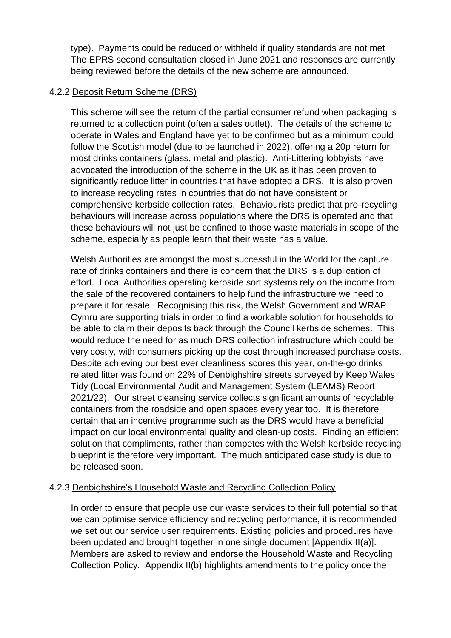type). Payments could be reduced or withheld if quality standards are not met The EPRS second consultation closed in June 2021 and responses are currently being reviewed before the details of the new scheme are announced.

### 4.2.2 Deposit Return Scheme (DRS)

This scheme will see the return of the partial consumer refund when packaging is returned to a collection point (often a sales outlet). The details of the scheme to operate in Wales and England have yet to be confirmed but as a minimum could follow the Scottish model (due to be launched in 2022), offering a 20p return for most drinks containers (glass, metal and plastic). Anti-Littering lobbyists have advocated the introduction of the scheme in the UK as it has been proven to significantly reduce litter in countries that have adopted a DRS. It is also proven to increase recycling rates in countries that do not have consistent or comprehensive kerbside collection rates. Behaviourists predict that pro-recycling behaviours will increase across populations where the DRS is operated and that these behaviours will not just be confined to those waste materials in scope of the scheme, especially as people learn that their waste has a value.

Welsh Authorities are amongst the most successful in the World for the capture rate of drinks containers and there is concern that the DRS is a duplication of effort. Local Authorities operating kerbside sort systems rely on the income from the sale of the recovered containers to help fund the infrastructure we need to prepare it for resale. Recognising this risk, the Welsh Government and WRAP Cymru are supporting trials in order to find a workable solution for households to be able to claim their deposits back through the Council kerbside schemes. This would reduce the need for as much DRS collection infrastructure which could be very costly, with consumers picking up the cost through increased purchase costs. Despite achieving our best ever cleanliness scores this year, on-the-go drinks related litter was found on 22% of Denbighshire streets surveyed by Keep Wales Tidy (Local Environmental Audit and Management System (LEAMS) Report 2021/22). Our street cleansing service collects significant amounts of recyclable containers from the roadside and open spaces every year too. It is therefore certain that an incentive programme such as the DRS would have a beneficial impact on our local environmental quality and clean-up costs. Finding an efficient solution that compliments, rather than competes with the Welsh kerbside recycling blueprint is therefore very important. The much anticipated case study is due to be released soon.

## 4.2.3 Denbighshire's Household Waste and Recycling Collection Policy

In order to ensure that people use our waste services to their full potential so that we can optimise service efficiency and recycling performance, it is recommended we set out our service user requirements. Existing policies and procedures have been updated and brought together in one single document [Appendix II(a)]. Members are asked to review and endorse the Household Waste and Recycling Collection Policy. Appendix II(b) highlights amendments to the policy once the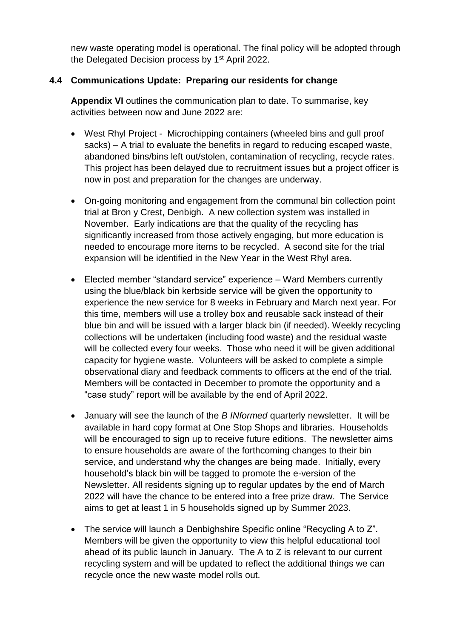new waste operating model is operational. The final policy will be adopted through the Delegated Decision process by 1<sup>st</sup> April 2022.

## **4.4 Communications Update: Preparing our residents for change**

**Appendix VI** outlines the communication plan to date. To summarise, key activities between now and June 2022 are:

- West Rhyl Project Microchipping containers (wheeled bins and gull proof sacks) – A trial to evaluate the benefits in regard to reducing escaped waste, abandoned bins/bins left out/stolen, contamination of recycling, recycle rates. This project has been delayed due to recruitment issues but a project officer is now in post and preparation for the changes are underway.
- On-going monitoring and engagement from the communal bin collection point trial at Bron y Crest, Denbigh. A new collection system was installed in November. Early indications are that the quality of the recycling has significantly increased from those actively engaging, but more education is needed to encourage more items to be recycled. A second site for the trial expansion will be identified in the New Year in the West Rhyl area.
- Elected member "standard service" experience Ward Members currently using the blue/black bin kerbside service will be given the opportunity to experience the new service for 8 weeks in February and March next year. For this time, members will use a trolley box and reusable sack instead of their blue bin and will be issued with a larger black bin (if needed). Weekly recycling collections will be undertaken (including food waste) and the residual waste will be collected every four weeks. Those who need it will be given additional capacity for hygiene waste. Volunteers will be asked to complete a simple observational diary and feedback comments to officers at the end of the trial. Members will be contacted in December to promote the opportunity and a "case study" report will be available by the end of April 2022.
- January will see the launch of the *B INformed* quarterly newsletter. It will be available in hard copy format at One Stop Shops and libraries. Households will be encouraged to sign up to receive future editions. The newsletter aims to ensure households are aware of the forthcoming changes to their bin service, and understand why the changes are being made. Initially, every household's black bin will be tagged to promote the e-version of the Newsletter. All residents signing up to regular updates by the end of March 2022 will have the chance to be entered into a free prize draw. The Service aims to get at least 1 in 5 households signed up by Summer 2023.
- The service will launch a Denbighshire Specific online "Recycling A to Z". Members will be given the opportunity to view this helpful educational tool ahead of its public launch in January. The A to Z is relevant to our current recycling system and will be updated to reflect the additional things we can recycle once the new waste model rolls out.